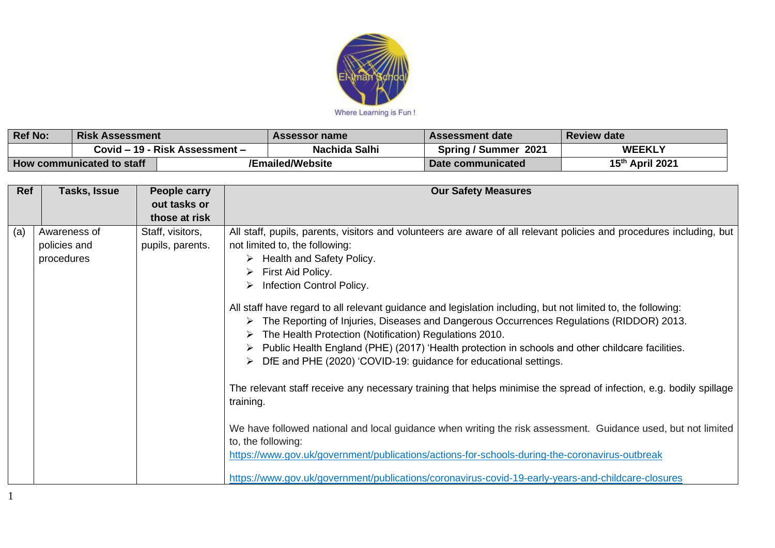

| <b>Ref No:</b>            | <b>Risk Assessment</b>         |  | Assessor name    | <b>Assessment date</b> | <b>Review date</b> |
|---------------------------|--------------------------------|--|------------------|------------------------|--------------------|
|                           | Covid – 19 - Risk Assessment – |  | Nachida Salhi    | Spring / Summer 2021   | <b>WEEKLY</b>      |
| How communicated to staff |                                |  | 'Emailed/Website | Date communicated      | 15th April 2021    |

| Ref | Tasks, Issue                               | People carry                         | <b>Our Safety Measures</b>                                                                                                                                                                                                                                                                                                                                                                                                                                                                                                                                                                                                                                                                                                                                                                                                                                                                                                                                                                                                                                                                                                                                                                                    |
|-----|--------------------------------------------|--------------------------------------|---------------------------------------------------------------------------------------------------------------------------------------------------------------------------------------------------------------------------------------------------------------------------------------------------------------------------------------------------------------------------------------------------------------------------------------------------------------------------------------------------------------------------------------------------------------------------------------------------------------------------------------------------------------------------------------------------------------------------------------------------------------------------------------------------------------------------------------------------------------------------------------------------------------------------------------------------------------------------------------------------------------------------------------------------------------------------------------------------------------------------------------------------------------------------------------------------------------|
|     |                                            | out tasks or                         |                                                                                                                                                                                                                                                                                                                                                                                                                                                                                                                                                                                                                                                                                                                                                                                                                                                                                                                                                                                                                                                                                                                                                                                                               |
|     |                                            | those at risk                        |                                                                                                                                                                                                                                                                                                                                                                                                                                                                                                                                                                                                                                                                                                                                                                                                                                                                                                                                                                                                                                                                                                                                                                                                               |
| (a) | Awareness of<br>policies and<br>procedures | Staff, visitors,<br>pupils, parents. | All staff, pupils, parents, visitors and volunteers are aware of all relevant policies and procedures including, but<br>not limited to, the following:<br>$\triangleright$ Health and Safety Policy.<br>First Aid Policy.<br>Infection Control Policy.<br>➤<br>All staff have regard to all relevant guidance and legislation including, but not limited to, the following:<br>The Reporting of Injuries, Diseases and Dangerous Occurrences Regulations (RIDDOR) 2013.<br>The Health Protection (Notification) Regulations 2010.<br>$\triangleright$ Public Health England (PHE) (2017) 'Health protection in schools and other childcare facilities.<br>DfE and PHE (2020) 'COVID-19: guidance for educational settings.<br>The relevant staff receive any necessary training that helps minimise the spread of infection, e.g. bodily spillage<br>training.<br>We have followed national and local guidance when writing the risk assessment. Guidance used, but not limited<br>to, the following:<br>https://www.gov.uk/government/publications/actions-for-schools-during-the-coronavirus-outbreak<br>https://www.gov.uk/government/publications/coronavirus-covid-19-early-years-and-childcare-closures |

1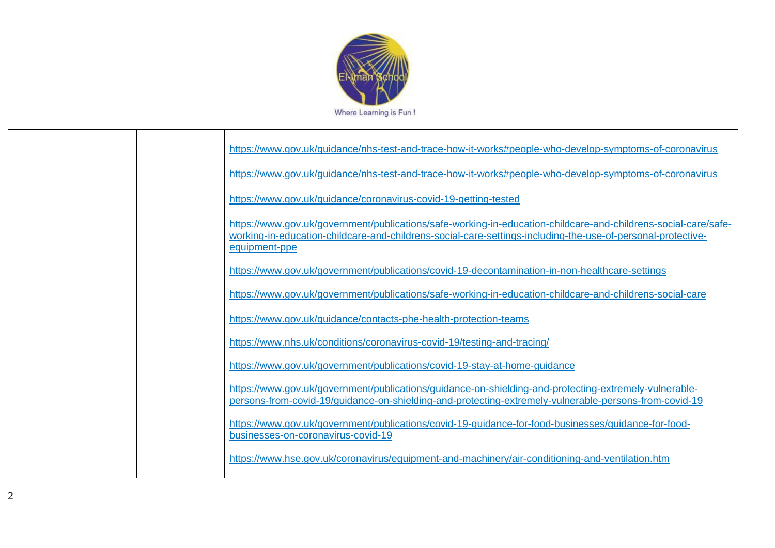

|  | https://www.gov.uk/guidance/nhs-test-and-trace-how-it-works#people-who-develop-symptoms-of-coronavirus                                                                                                                                         |
|--|------------------------------------------------------------------------------------------------------------------------------------------------------------------------------------------------------------------------------------------------|
|  | https://www.gov.uk/guidance/nhs-test-and-trace-how-it-works#people-who-develop-symptoms-of-coronavirus                                                                                                                                         |
|  | https://www.gov.uk/guidance/coronavirus-covid-19-getting-tested                                                                                                                                                                                |
|  | https://www.gov.uk/government/publications/safe-working-in-education-childcare-and-childrens-social-care/safe-<br>working-in-education-childcare-and-childrens-social-care-settings-including-the-use-of-personal-protective-<br>equipment-ppe |
|  | https://www.gov.uk/government/publications/covid-19-decontamination-in-non-healthcare-settings                                                                                                                                                 |
|  | https://www.gov.uk/government/publications/safe-working-in-education-childcare-and-childrens-social-care                                                                                                                                       |
|  | https://www.gov.uk/guidance/contacts-phe-health-protection-teams                                                                                                                                                                               |
|  | https://www.nhs.uk/conditions/coronavirus-covid-19/testing-and-tracing/                                                                                                                                                                        |
|  | https://www.gov.uk/government/publications/covid-19-stay-at-home-guidance                                                                                                                                                                      |
|  | https://www.gov.uk/government/publications/guidance-on-shielding-and-protecting-extremely-vulnerable-<br>persons-from-covid-19/guidance-on-shielding-and-protecting-extremely-vulnerable-persons-from-covid-19                                 |
|  | https://www.gov.uk/government/publications/covid-19-guidance-for-food-businesses/guidance-for-food-<br>businesses-on-coronavirus-covid-19                                                                                                      |
|  | https://www.hse.gov.uk/coronavirus/equipment-and-machinery/air-conditioning-and-ventilation.htm                                                                                                                                                |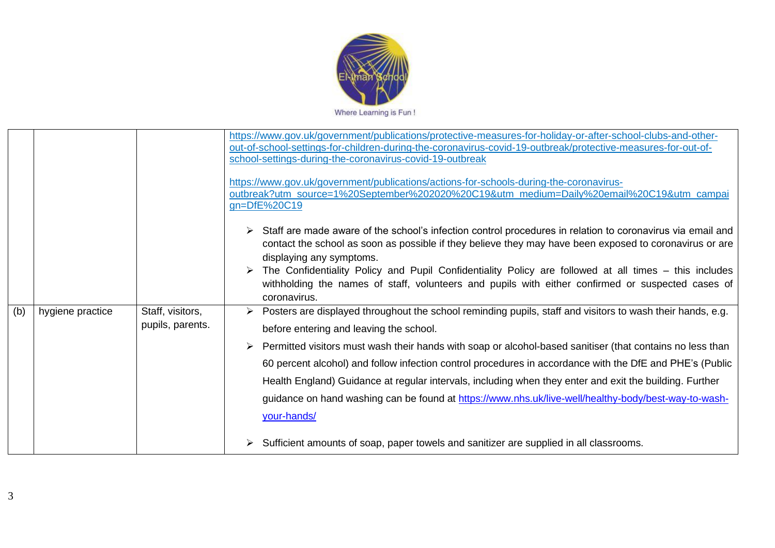

|     |                  |                                      | https://www.gov.uk/government/publications/protective-measures-for-holiday-or-after-school-clubs-and-other-<br>out-of-school-settings-for-children-during-the-coronavirus-covid-19-outbreak/protective-measures-for-out-of-<br>school-settings-during-the-coronavirus-covid-19-outbreak<br>https://www.gov.uk/government/publications/actions-for-schools-during-the-coronavirus-<br>outbreak?utm_source=1%20September%202020%20C19&utm_medium=Daily%20email%20C19&utm_campai<br>gn=DfE%20C19                                                                                                                                                                                                              |
|-----|------------------|--------------------------------------|------------------------------------------------------------------------------------------------------------------------------------------------------------------------------------------------------------------------------------------------------------------------------------------------------------------------------------------------------------------------------------------------------------------------------------------------------------------------------------------------------------------------------------------------------------------------------------------------------------------------------------------------------------------------------------------------------------|
|     |                  |                                      | Staff are made aware of the school's infection control procedures in relation to coronavirus via email and<br>contact the school as soon as possible if they believe they may have been exposed to coronavirus or are<br>displaying any symptoms.<br>The Confidentiality Policy and Pupil Confidentiality Policy are followed at all times – this includes<br>withholding the names of staff, volunteers and pupils with either confirmed or suspected cases of<br>coronavirus.                                                                                                                                                                                                                            |
| (b) | hygiene practice | Staff, visitors,<br>pupils, parents. | Posters are displayed throughout the school reminding pupils, staff and visitors to wash their hands, e.g.<br>before entering and leaving the school.<br>Permitted visitors must wash their hands with soap or alcohol-based sanitiser (that contains no less than<br>60 percent alcohol) and follow infection control procedures in accordance with the DfE and PHE's (Public<br>Health England) Guidance at regular intervals, including when they enter and exit the building. Further<br>guidance on hand washing can be found at https://www.nhs.uk/live-well/healthy-body/best-way-to-wash-<br>your-hands/<br>Sufficient amounts of soap, paper towels and sanitizer are supplied in all classrooms. |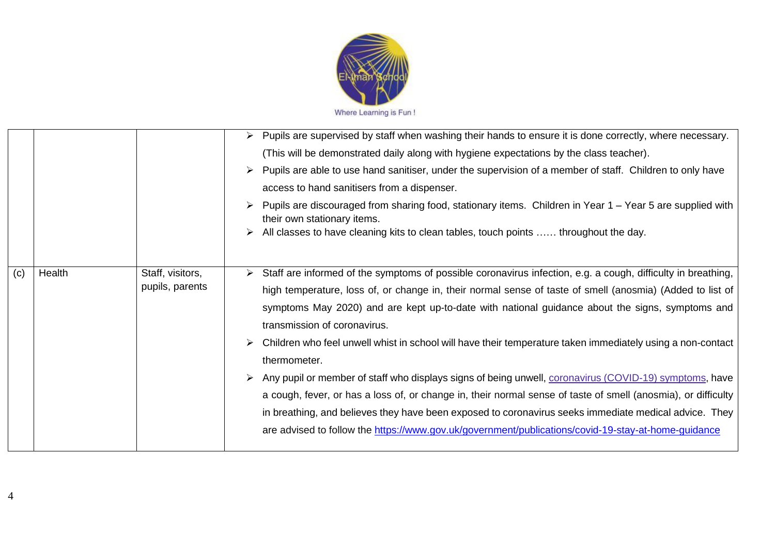

|     |        |                                     | Pupils are supervised by staff when washing their hands to ensure it is done correctly, where necessary.<br>$\blacktriangleright$<br>(This will be demonstrated daily along with hygiene expectations by the class teacher).<br>> Pupils are able to use hand sanitiser, under the supervision of a member of staff. Children to only have<br>access to hand sanitisers from a dispenser.<br>Pupils are discouraged from sharing food, stationary items. Children in Year 1 – Year 5 are supplied with<br>their own stationary items.<br>All classes to have cleaning kits to clean tables, touch points  throughout the day.                                                                                                                                                                                                                                                                                                             |
|-----|--------|-------------------------------------|-------------------------------------------------------------------------------------------------------------------------------------------------------------------------------------------------------------------------------------------------------------------------------------------------------------------------------------------------------------------------------------------------------------------------------------------------------------------------------------------------------------------------------------------------------------------------------------------------------------------------------------------------------------------------------------------------------------------------------------------------------------------------------------------------------------------------------------------------------------------------------------------------------------------------------------------|
| (c) | Health | Staff, visitors,<br>pupils, parents | Staff are informed of the symptoms of possible coronavirus infection, e.g. a cough, difficulty in breathing,<br>high temperature, loss of, or change in, their normal sense of taste of smell (anosmia) (Added to list of<br>symptoms May 2020) and are kept up-to-date with national guidance about the signs, symptoms and<br>transmission of coronavirus.<br>> Children who feel unwell whist in school will have their temperature taken immediately using a non-contact<br>thermometer.<br>> Any pupil or member of staff who displays signs of being unwell, coronavirus (COVID-19) symptoms, have<br>a cough, fever, or has a loss of, or change in, their normal sense of taste of smell (anosmia), or difficulty<br>in breathing, and believes they have been exposed to coronavirus seeks immediate medical advice. They<br>are advised to follow the https://www.gov.uk/government/publications/covid-19-stay-at-home-guidance |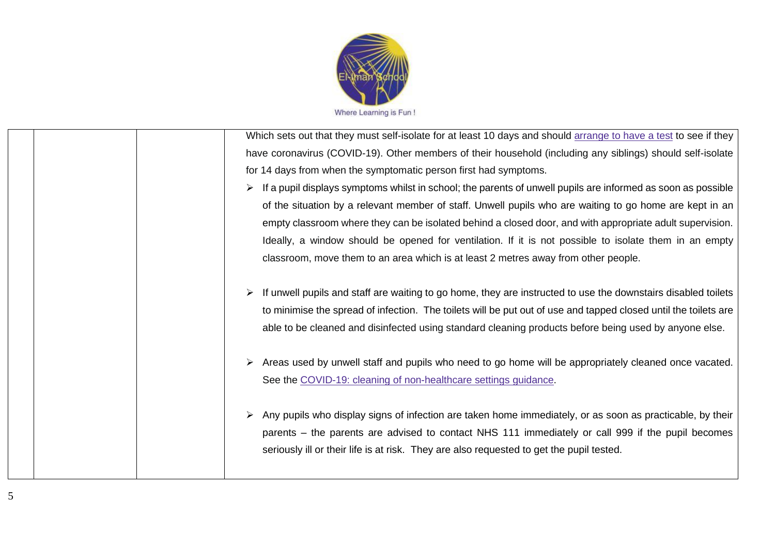

| Which sets out that they must self-isolate for at least 10 days and should arrange to have a test to see if they |
|------------------------------------------------------------------------------------------------------------------|
| have coronavirus (COVID-19). Other members of their household (including any siblings) should self-isolate       |
| for 14 days from when the symptomatic person first had symptoms.                                                 |
| If a pupil displays symptoms whilst in school; the parents of unwell pupils are informed as soon as possible     |
| of the situation by a relevant member of staff. Unwell pupils who are waiting to go home are kept in an          |
| empty classroom where they can be isolated behind a closed door, and with appropriate adult supervision.         |
| Ideally, a window should be opened for ventilation. If it is not possible to isolate them in an empty            |
| classroom, move them to an area which is at least 2 metres away from other people.                               |
|                                                                                                                  |
| If unwell pupils and staff are waiting to go home, they are instructed to use the downstairs disabled toilets    |
| to minimise the spread of infection. The toilets will be put out of use and tapped closed until the toilets are  |
| able to be cleaned and disinfected using standard cleaning products before being used by anyone else.            |
|                                                                                                                  |
| ≻ Areas used by unwell staff and pupils who need to go home will be appropriately cleaned once vacated.          |
| See the COVID-19: cleaning of non-healthcare settings guidance.                                                  |
|                                                                                                                  |
| > Any pupils who display signs of infection are taken home immediately, or as soon as practicable, by their      |
| parents – the parents are advised to contact NHS 111 immediately or call 999 if the pupil becomes                |
| seriously ill or their life is at risk. They are also requested to get the pupil tested.                         |
|                                                                                                                  |
|                                                                                                                  |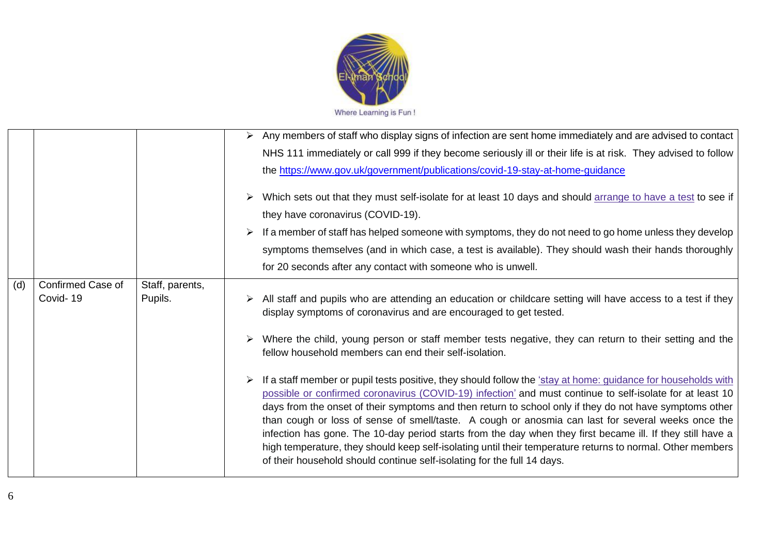

|     |                   |                 | $\triangleright$ Any members of staff who display signs of infection are sent home immediately and are advised to contact                                                                                                                                                                                                                                                                                                                                                                                                                                                                                                                                                                                                                          |
|-----|-------------------|-----------------|----------------------------------------------------------------------------------------------------------------------------------------------------------------------------------------------------------------------------------------------------------------------------------------------------------------------------------------------------------------------------------------------------------------------------------------------------------------------------------------------------------------------------------------------------------------------------------------------------------------------------------------------------------------------------------------------------------------------------------------------------|
|     |                   |                 | NHS 111 immediately or call 999 if they become seriously ill or their life is at risk. They advised to follow                                                                                                                                                                                                                                                                                                                                                                                                                                                                                                                                                                                                                                      |
|     |                   |                 | the https://www.gov.uk/government/publications/covid-19-stay-at-home-guidance                                                                                                                                                                                                                                                                                                                                                                                                                                                                                                                                                                                                                                                                      |
|     |                   |                 | > Which sets out that they must self-isolate for at least 10 days and should arrange to have a test to see if                                                                                                                                                                                                                                                                                                                                                                                                                                                                                                                                                                                                                                      |
|     |                   |                 | they have coronavirus (COVID-19).                                                                                                                                                                                                                                                                                                                                                                                                                                                                                                                                                                                                                                                                                                                  |
|     |                   |                 | If a member of staff has helped someone with symptoms, they do not need to go home unless they develop                                                                                                                                                                                                                                                                                                                                                                                                                                                                                                                                                                                                                                             |
|     |                   |                 | symptoms themselves (and in which case, a test is available). They should wash their hands thoroughly                                                                                                                                                                                                                                                                                                                                                                                                                                                                                                                                                                                                                                              |
|     |                   |                 | for 20 seconds after any contact with someone who is unwell.                                                                                                                                                                                                                                                                                                                                                                                                                                                                                                                                                                                                                                                                                       |
| (d) | Confirmed Case of | Staff, parents, |                                                                                                                                                                                                                                                                                                                                                                                                                                                                                                                                                                                                                                                                                                                                                    |
|     | Covid-19          | Pupils.         | All staff and pupils who are attending an education or childcare setting will have access to a test if they<br>display symptoms of coronavirus and are encouraged to get tested.                                                                                                                                                                                                                                                                                                                                                                                                                                                                                                                                                                   |
|     |                   |                 | > Where the child, young person or staff member tests negative, they can return to their setting and the<br>fellow household members can end their self-isolation.                                                                                                                                                                                                                                                                                                                                                                                                                                                                                                                                                                                 |
|     |                   |                 | If a staff member or pupil tests positive, they should follow the 'stay at home: quidance for households with<br>possible or confirmed coronavirus (COVID-19) infection' and must continue to self-isolate for at least 10<br>days from the onset of their symptoms and then return to school only if they do not have symptoms other<br>than cough or loss of sense of smell/taste. A cough or anosmia can last for several weeks once the<br>infection has gone. The 10-day period starts from the day when they first became ill. If they still have a<br>high temperature, they should keep self-isolating until their temperature returns to normal. Other members<br>of their household should continue self-isolating for the full 14 days. |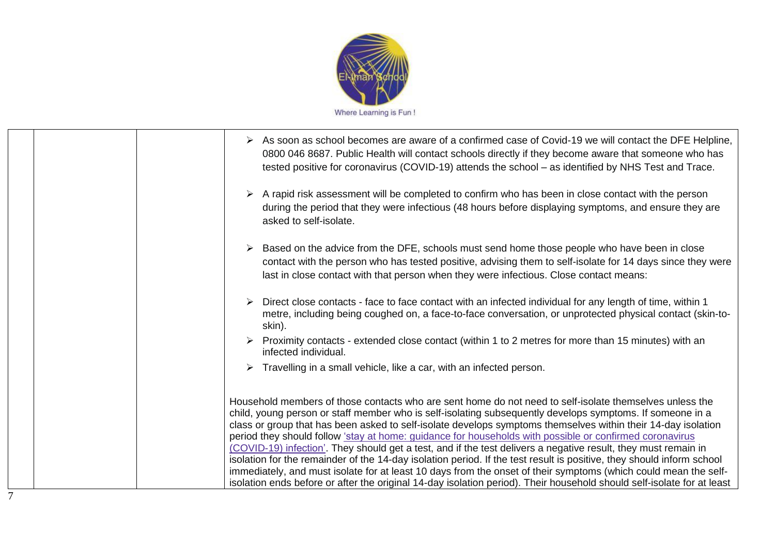

| $\triangleright$ As soon as school becomes are aware of a confirmed case of Covid-19 we will contact the DFE Helpline,<br>0800 046 8687. Public Health will contact schools directly if they become aware that someone who has<br>tested positive for coronavirus (COVID-19) attends the school - as identified by NHS Test and Trace.                                                                                                                                                                                                                                                                                                                                                                                                                                                                                                                                                                                                   |
|------------------------------------------------------------------------------------------------------------------------------------------------------------------------------------------------------------------------------------------------------------------------------------------------------------------------------------------------------------------------------------------------------------------------------------------------------------------------------------------------------------------------------------------------------------------------------------------------------------------------------------------------------------------------------------------------------------------------------------------------------------------------------------------------------------------------------------------------------------------------------------------------------------------------------------------|
| $\triangleright$ A rapid risk assessment will be completed to confirm who has been in close contact with the person<br>during the period that they were infectious (48 hours before displaying symptoms, and ensure they are<br>asked to self-isolate.                                                                                                                                                                                                                                                                                                                                                                                                                                                                                                                                                                                                                                                                                   |
| Based on the advice from the DFE, schools must send home those people who have been in close<br>contact with the person who has tested positive, advising them to self-isolate for 14 days since they were<br>last in close contact with that person when they were infectious. Close contact means:                                                                                                                                                                                                                                                                                                                                                                                                                                                                                                                                                                                                                                     |
| Direct close contacts - face to face contact with an infected individual for any length of time, within 1<br>metre, including being coughed on, a face-to-face conversation, or unprotected physical contact (skin-to-<br>skin).                                                                                                                                                                                                                                                                                                                                                                                                                                                                                                                                                                                                                                                                                                         |
| $\triangleright$ Proximity contacts - extended close contact (within 1 to 2 metres for more than 15 minutes) with an<br>infected individual.                                                                                                                                                                                                                                                                                                                                                                                                                                                                                                                                                                                                                                                                                                                                                                                             |
| $\triangleright$ Travelling in a small vehicle, like a car, with an infected person.                                                                                                                                                                                                                                                                                                                                                                                                                                                                                                                                                                                                                                                                                                                                                                                                                                                     |
| Household members of those contacts who are sent home do not need to self-isolate themselves unless the<br>child, young person or staff member who is self-isolating subsequently develops symptoms. If someone in a<br>class or group that has been asked to self-isolate develops symptoms themselves within their 14-day isolation<br>period they should follow 'stay at home: guidance for households with possible or confirmed coronavirus<br>(COVID-19) infection'. They should get a test, and if the test delivers a negative result, they must remain in<br>isolation for the remainder of the 14-day isolation period. If the test result is positive, they should inform school<br>immediately, and must isolate for at least 10 days from the onset of their symptoms (which could mean the self-<br>isolation ends before or after the original 14-day isolation period). Their household should self-isolate for at least |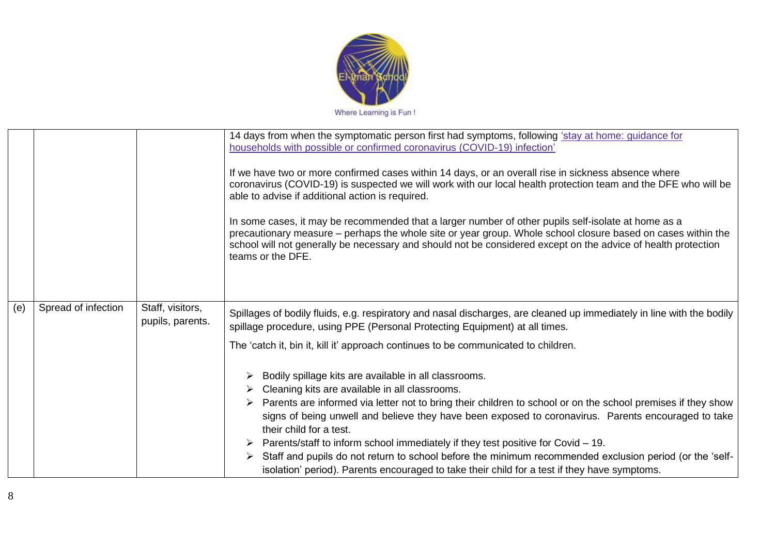

|     |                     |                                      | 14 days from when the symptomatic person first had symptoms, following 'stay at home: guidance for<br>households with possible or confirmed coronavirus (COVID-19) infection'<br>If we have two or more confirmed cases within 14 days, or an overall rise in sickness absence where<br>coronavirus (COVID-19) is suspected we will work with our local health protection team and the DFE who will be<br>able to advise if additional action is required.<br>In some cases, it may be recommended that a larger number of other pupils self-isolate at home as a<br>precautionary measure - perhaps the whole site or year group. Whole school closure based on cases within the<br>school will not generally be necessary and should not be considered except on the advice of health protection<br>teams or the DFE.                                                                                                                                     |
|-----|---------------------|--------------------------------------|-------------------------------------------------------------------------------------------------------------------------------------------------------------------------------------------------------------------------------------------------------------------------------------------------------------------------------------------------------------------------------------------------------------------------------------------------------------------------------------------------------------------------------------------------------------------------------------------------------------------------------------------------------------------------------------------------------------------------------------------------------------------------------------------------------------------------------------------------------------------------------------------------------------------------------------------------------------|
| (e) | Spread of infection | Staff, visitors,<br>pupils, parents. | Spillages of bodily fluids, e.g. respiratory and nasal discharges, are cleaned up immediately in line with the bodily<br>spillage procedure, using PPE (Personal Protecting Equipment) at all times.<br>The 'catch it, bin it, kill it' approach continues to be communicated to children.<br>Bodily spillage kits are available in all classrooms.<br>Cleaning kits are available in all classrooms.<br>Parents are informed via letter not to bring their children to school or on the school premises if they show<br>signs of being unwell and believe they have been exposed to coronavirus. Parents encouraged to take<br>their child for a test.<br>Parents/staff to inform school immediately if they test positive for Covid - 19.<br>Staff and pupils do not return to school before the minimum recommended exclusion period (or the 'self-<br>➤<br>isolation' period). Parents encouraged to take their child for a test if they have symptoms. |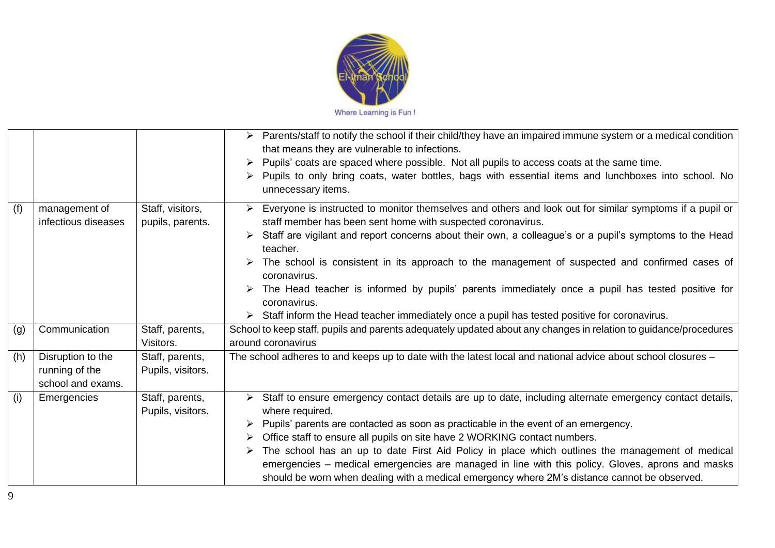

|     |                                                          |                                      | Parents/staff to notify the school if their child/they have an impaired immune system or a medical condition<br>that means they are vulnerable to infections.<br>Pupils' coats are spaced where possible. Not all pupils to access coats at the same time.<br>➤<br>Pupils to only bring coats, water bottles, bags with essential items and lunchboxes into school. No<br>unnecessary items.                                                                                                                                                                                                                                       |
|-----|----------------------------------------------------------|--------------------------------------|------------------------------------------------------------------------------------------------------------------------------------------------------------------------------------------------------------------------------------------------------------------------------------------------------------------------------------------------------------------------------------------------------------------------------------------------------------------------------------------------------------------------------------------------------------------------------------------------------------------------------------|
| (f) | management of<br>infectious diseases                     | Staff, visitors,<br>pupils, parents. | Everyone is instructed to monitor themselves and others and look out for similar symptoms if a pupil or<br>staff member has been sent home with suspected coronavirus.<br>Staff are vigilant and report concerns about their own, a colleague's or a pupil's symptoms to the Head<br>teacher.<br>The school is consistent in its approach to the management of suspected and confirmed cases of<br>coronavirus.<br>The Head teacher is informed by pupils' parents immediately once a pupil has tested positive for<br>coronavirus.<br>Staff inform the Head teacher immediately once a pupil has tested positive for coronavirus. |
| (g) | Communication                                            | Staff, parents,<br>Visitors.         | School to keep staff, pupils and parents adequately updated about any changes in relation to guidance/procedures<br>around coronavirus                                                                                                                                                                                                                                                                                                                                                                                                                                                                                             |
| (h) | Disruption to the<br>running of the<br>school and exams. | Staff, parents,<br>Pupils, visitors. | The school adheres to and keeps up to date with the latest local and national advice about school closures -                                                                                                                                                                                                                                                                                                                                                                                                                                                                                                                       |
| (i) | Emergencies                                              | Staff, parents,<br>Pupils, visitors. | Staff to ensure emergency contact details are up to date, including alternate emergency contact details,<br>➤<br>where required.<br>Pupils' parents are contacted as soon as practicable in the event of an emergency.<br>Office staff to ensure all pupils on site have 2 WORKING contact numbers.<br>The school has an up to date First Aid Policy in place which outlines the management of medical<br>emergencies – medical emergencies are managed in line with this policy. Gloves, aprons and masks<br>should be worn when dealing with a medical emergency where 2M's distance cannot be observed.                         |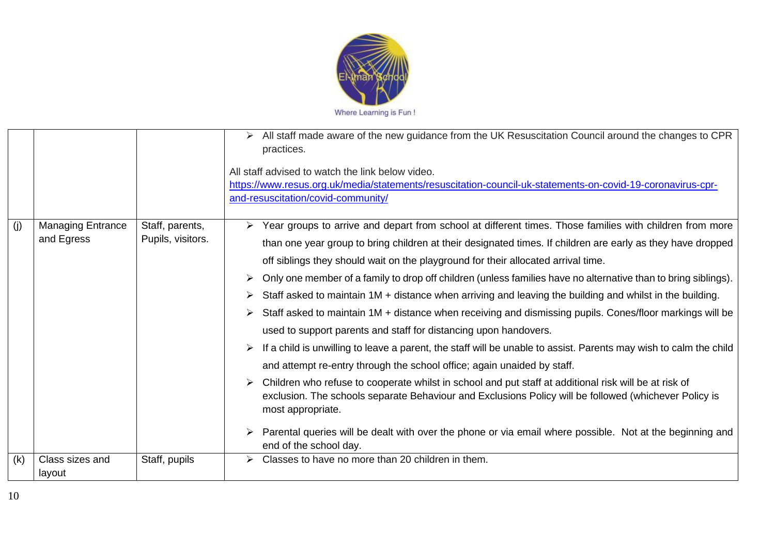

|     |                          |                   | All staff made aware of the new guidance from the UK Resuscitation Council around the changes to CPR<br>practices.                                                                                                                       |
|-----|--------------------------|-------------------|------------------------------------------------------------------------------------------------------------------------------------------------------------------------------------------------------------------------------------------|
|     |                          |                   | All staff advised to watch the link below video.                                                                                                                                                                                         |
|     |                          |                   | https://www.resus.org.uk/media/statements/resuscitation-council-uk-statements-on-covid-19-coronavirus-cpr-                                                                                                                               |
|     |                          |                   | and-resuscitation/covid-community/                                                                                                                                                                                                       |
| (i) | <b>Managing Entrance</b> | Staff, parents,   | Year groups to arrive and depart from school at different times. Those families with children from more                                                                                                                                  |
|     | and Egress               | Pupils, visitors. | than one year group to bring children at their designated times. If children are early as they have dropped                                                                                                                              |
|     |                          |                   | off siblings they should wait on the playground for their allocated arrival time.                                                                                                                                                        |
|     |                          |                   | Only one member of a family to drop off children (unless families have no alternative than to bring siblings).<br>➤                                                                                                                      |
|     |                          |                   | Staff asked to maintain 1M + distance when arriving and leaving the building and whilst in the building.<br>➤                                                                                                                            |
|     |                          |                   | Staff asked to maintain 1M + distance when receiving and dismissing pupils. Cones/floor markings will be<br>➤                                                                                                                            |
|     |                          |                   | used to support parents and staff for distancing upon handovers.                                                                                                                                                                         |
|     |                          |                   | If a child is unwilling to leave a parent, the staff will be unable to assist. Parents may wish to calm the child                                                                                                                        |
|     |                          |                   | and attempt re-entry through the school office; again unaided by staff.                                                                                                                                                                  |
|     |                          |                   | Children who refuse to cooperate whilst in school and put staff at additional risk will be at risk of<br>➤<br>exclusion. The schools separate Behaviour and Exclusions Policy will be followed (whichever Policy is<br>most appropriate. |
|     |                          |                   | Parental queries will be dealt with over the phone or via email where possible. Not at the beginning and<br>end of the school day.                                                                                                       |
| (k) | Class sizes and          | Staff, pupils     | Classes to have no more than 20 children in them.                                                                                                                                                                                        |
|     | layout                   |                   |                                                                                                                                                                                                                                          |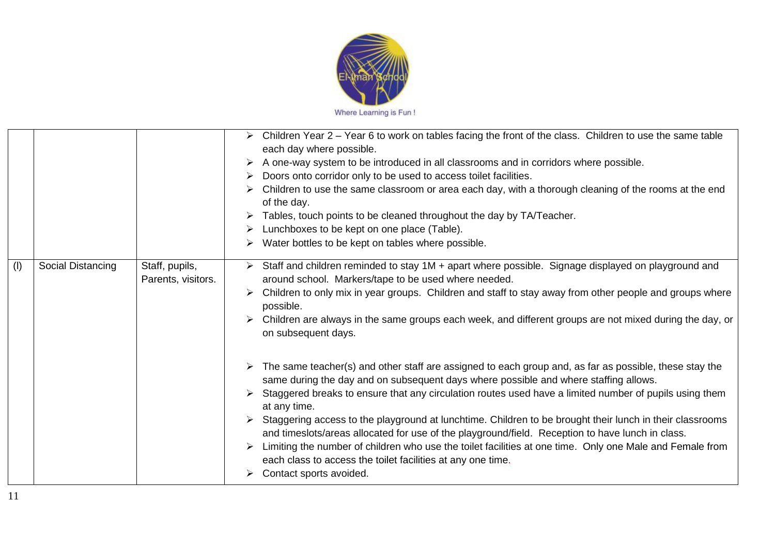

|     |                   |                                      | Children Year 2 – Year 6 to work on tables facing the front of the class. Children to use the same table<br>➤<br>each day where possible.<br>A one-way system to be introduced in all classrooms and in corridors where possible.<br>➤<br>Doors onto corridor only to be used to access toilet facilities. |
|-----|-------------------|--------------------------------------|------------------------------------------------------------------------------------------------------------------------------------------------------------------------------------------------------------------------------------------------------------------------------------------------------------|
|     |                   |                                      | ➤<br>Children to use the same classroom or area each day, with a thorough cleaning of the rooms at the end<br>➤                                                                                                                                                                                            |
|     |                   |                                      | of the day.                                                                                                                                                                                                                                                                                                |
|     |                   |                                      | Tables, touch points to be cleaned throughout the day by TA/Teacher.<br>➤                                                                                                                                                                                                                                  |
|     |                   |                                      | Lunchboxes to be kept on one place (Table).<br>➤                                                                                                                                                                                                                                                           |
|     |                   |                                      | Water bottles to be kept on tables where possible.                                                                                                                                                                                                                                                         |
| (1) | Social Distancing | Staff, pupils,<br>Parents, visitors. | Staff and children reminded to stay 1M + apart where possible. Signage displayed on playground and<br>➤<br>around school. Markers/tape to be used where needed.                                                                                                                                            |
|     |                   |                                      | Children to only mix in year groups. Children and staff to stay away from other people and groups where<br>possible.                                                                                                                                                                                       |
|     |                   |                                      | Children are always in the same groups each week, and different groups are not mixed during the day, or<br>on subsequent days.                                                                                                                                                                             |
|     |                   |                                      | The same teacher(s) and other staff are assigned to each group and, as far as possible, these stay the<br>same during the day and on subsequent days where possible and where staffing allows.                                                                                                             |
|     |                   |                                      | Staggered breaks to ensure that any circulation routes used have a limited number of pupils using them<br>➤<br>at any time.                                                                                                                                                                                |
|     |                   |                                      | Staggering access to the playground at lunchtime. Children to be brought their lunch in their classrooms<br>and timeslots/areas allocated for use of the playground/field. Reception to have lunch in class.                                                                                               |
|     |                   |                                      | Limiting the number of children who use the toilet facilities at one time. Only one Male and Female from<br>each class to access the toilet facilities at any one time.                                                                                                                                    |
|     |                   |                                      | Contact sports avoided.<br>➤                                                                                                                                                                                                                                                                               |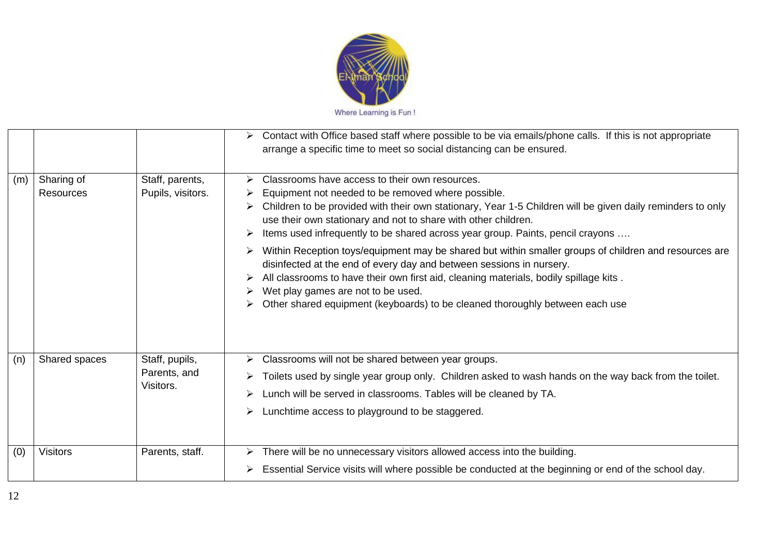

|     |                                |                                             | Contact with Office based staff where possible to be via emails/phone calls. If this is not appropriate<br>arrange a specific time to meet so social distancing can be ensured.                                                                                                                                                                                                                                                                                                      |
|-----|--------------------------------|---------------------------------------------|--------------------------------------------------------------------------------------------------------------------------------------------------------------------------------------------------------------------------------------------------------------------------------------------------------------------------------------------------------------------------------------------------------------------------------------------------------------------------------------|
| (m) | Sharing of<br><b>Resources</b> | Staff, parents,<br>Pupils, visitors.        | Classrooms have access to their own resources.<br>Equipment not needed to be removed where possible.<br>Children to be provided with their own stationary, Year 1-5 Children will be given daily reminders to only<br>use their own stationary and not to share with other children.<br>Items used infrequently to be shared across year group. Paints, pencil crayons<br>➤<br>Within Reception toys/equipment may be shared but within smaller groups of children and resources are |
|     |                                |                                             | disinfected at the end of every day and between sessions in nursery.<br>All classrooms to have their own first aid, cleaning materials, bodily spillage kits.<br>Wet play games are not to be used.<br>Other shared equipment (keyboards) to be cleaned thoroughly between each use                                                                                                                                                                                                  |
| (n) | Shared spaces                  | Staff, pupils,<br>Parents, and<br>Visitors. | Classrooms will not be shared between year groups.<br>Toilets used by single year group only. Children asked to wash hands on the way back from the toilet.<br>Lunch will be served in classrooms. Tables will be cleaned by TA.<br>Lunchtime access to playground to be staggered.                                                                                                                                                                                                  |
| (0) | <b>Visitors</b>                | Parents, staff.                             | There will be no unnecessary visitors allowed access into the building.<br>➤<br>Essential Service visits will where possible be conducted at the beginning or end of the school day.                                                                                                                                                                                                                                                                                                 |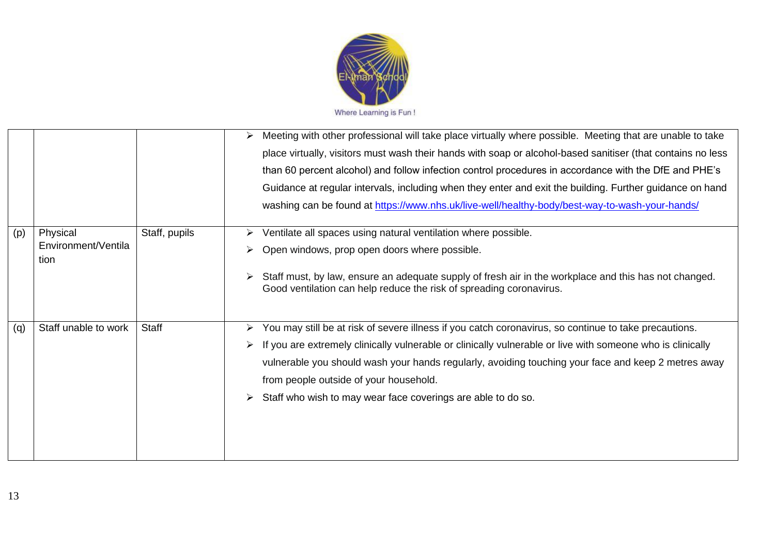

|     |                                 |               | Meeting with other professional will take place virtually where possible. Meeting that are unable to take<br>➤<br>place virtually, visitors must wash their hands with soap or alcohol-based sanitiser (that contains no less<br>than 60 percent alcohol) and follow infection control procedures in accordance with the DfE and PHE's<br>Guidance at regular intervals, including when they enter and exit the building. Further guidance on hand<br>washing can be found at https://www.nhs.uk/live-well/healthy-body/best-way-to-wash-your-hands/ |
|-----|---------------------------------|---------------|------------------------------------------------------------------------------------------------------------------------------------------------------------------------------------------------------------------------------------------------------------------------------------------------------------------------------------------------------------------------------------------------------------------------------------------------------------------------------------------------------------------------------------------------------|
| (p) | Physical<br>Environment/Ventila | Staff, pupils | Ventilate all spaces using natural ventilation where possible.<br>Open windows, prop open doors where possible.                                                                                                                                                                                                                                                                                                                                                                                                                                      |
|     | tion                            |               | Staff must, by law, ensure an adequate supply of fresh air in the workplace and this has not changed.<br>Good ventilation can help reduce the risk of spreading coronavirus.                                                                                                                                                                                                                                                                                                                                                                         |
| (q) | Staff unable to work            | Staff         | You may still be at risk of severe illness if you catch coronavirus, so continue to take precautions.<br>➤<br>If you are extremely clinically vulnerable or clinically vulnerable or live with someone who is clinically<br>vulnerable you should wash your hands regularly, avoiding touching your face and keep 2 metres away<br>from people outside of your household.<br>Staff who wish to may wear face coverings are able to do so.                                                                                                            |